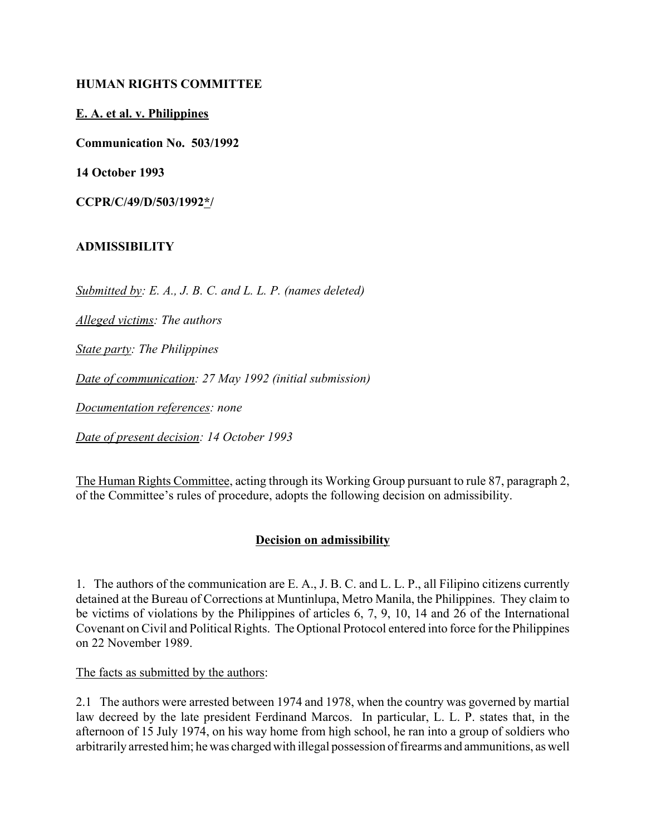## **HUMAN RIGHTS COMMITTEE**

**E. A. et al. v. Philippines**

**Communication No. 503/1992**

**14 October 1993**

**CCPR/C/49/D/503/1992\*/** 

## **ADMISSIBILITY**

*Submitted by: E. A., J. B. C. and L. L. P. (names deleted)*

*Alleged victims: The authors*

*State party: The Philippines*

*Date of communication: 27 May 1992 (initial submission)*

*Documentation references: none*

*Date of present decision: 14 October 1993*

The Human Rights Committee, acting through its Working Group pursuant to rule 87, paragraph 2, of the Committee's rules of procedure, adopts the following decision on admissibility.

## **Decision on admissibility**

1. The authors of the communication are E. A., J. B. C. and L. L. P., all Filipino citizens currently detained at the Bureau of Corrections at Muntinlupa, Metro Manila, the Philippines. They claim to be victims of violations by the Philippines of articles 6, 7, 9, 10, 14 and 26 of the International Covenant on Civil and Political Rights. The Optional Protocol entered into force for the Philippines on 22 November 1989.

The facts as submitted by the authors:

2.1 The authors were arrested between 1974 and 1978, when the country was governed by martial law decreed by the late president Ferdinand Marcos. In particular, L. L. P. states that, in the afternoon of 15 July 1974, on his way home from high school, he ran into a group of soldiers who arbitrarily arrested him; he was charged with illegal possession of firearms and ammunitions, as well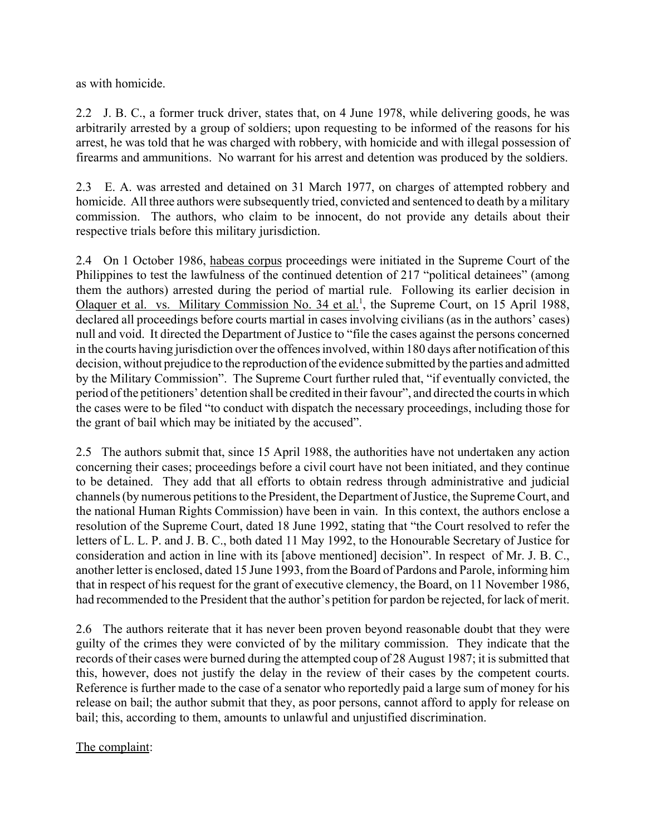as with homicide.

2.2 J. B. C., a former truck driver, states that, on 4 June 1978, while delivering goods, he was arbitrarily arrested by a group of soldiers; upon requesting to be informed of the reasons for his arrest, he was told that he was charged with robbery, with homicide and with illegal possession of firearms and ammunitions. No warrant for his arrest and detention was produced by the soldiers.

2.3 E. A. was arrested and detained on 31 March 1977, on charges of attempted robbery and homicide. All three authors were subsequently tried, convicted and sentenced to death by a military commission. The authors, who claim to be innocent, do not provide any details about their respective trials before this military jurisdiction.

2.4 On 1 October 1986, habeas corpus proceedings were initiated in the Supreme Court of the Philippines to test the lawfulness of the continued detention of 217 "political detainees" (among them the authors) arrested during the period of martial rule. Following its earlier decision in Olaquer et al. vs. Military Commission No. 34 et al.<sup>1</sup>, the Supreme Court, on 15 April 1988, declared all proceedings before courts martial in cases involving civilians (as in the authors' cases) null and void. It directed the Department of Justice to "file the cases against the persons concerned in the courts having jurisdiction over the offences involved, within 180 days after notification of this decision, without prejudice to the reproduction of the evidence submitted by the parties and admitted by the Military Commission". The Supreme Court further ruled that, "if eventually convicted, the period of the petitioners' detention shall be credited in their favour", and directed the courts in which the cases were to be filed "to conduct with dispatch the necessary proceedings, including those for the grant of bail which may be initiated by the accused".

2.5 The authors submit that, since 15 April 1988, the authorities have not undertaken any action concerning their cases; proceedings before a civil court have not been initiated, and they continue to be detained. They add that all efforts to obtain redress through administrative and judicial channels (by numerous petitions to the President, the Department of Justice, the Supreme Court, and the national Human Rights Commission) have been in vain. In this context, the authors enclose a resolution of the Supreme Court, dated 18 June 1992, stating that "the Court resolved to refer the letters of L. L. P. and J. B. C., both dated 11 May 1992, to the Honourable Secretary of Justice for consideration and action in line with its [above mentioned] decisionî. In respect of Mr. J. B. C., another letter is enclosed, dated 15 June 1993, from the Board of Pardons and Parole, informing him that in respect of his request for the grant of executive clemency, the Board, on 11 November 1986, had recommended to the President that the author's petition for pardon be rejected, for lack of merit.

2.6 The authors reiterate that it has never been proven beyond reasonable doubt that they were guilty of the crimes they were convicted of by the military commission. They indicate that the records of their cases were burned during the attempted coup of 28 August 1987; it is submitted that this, however, does not justify the delay in the review of their cases by the competent courts. Reference is further made to the case of a senator who reportedly paid a large sum of money for his release on bail; the author submit that they, as poor persons, cannot afford to apply for release on bail; this, according to them, amounts to unlawful and unjustified discrimination.

The complaint: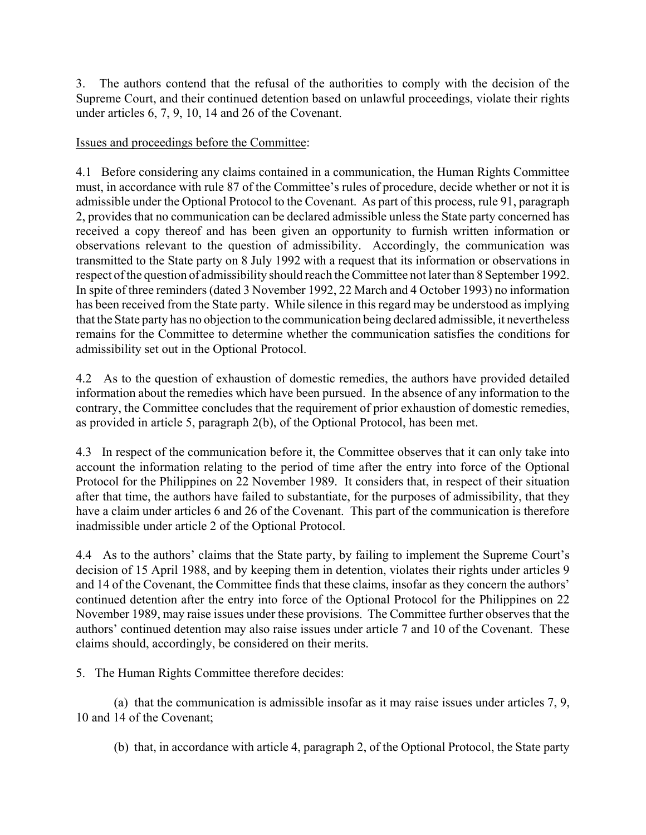3. The authors contend that the refusal of the authorities to comply with the decision of the Supreme Court, and their continued detention based on unlawful proceedings, violate their rights under articles 6, 7, 9, 10, 14 and 26 of the Covenant.

## Issues and proceedings before the Committee:

4.1 Before considering any claims contained in a communication, the Human Rights Committee must, in accordance with rule 87 of the Committee's rules of procedure, decide whether or not it is admissible under the Optional Protocol to the Covenant. As part of this process, rule 91, paragraph 2, provides that no communication can be declared admissible unless the State party concerned has received a copy thereof and has been given an opportunity to furnish written information or observations relevant to the question of admissibility. Accordingly, the communication was transmitted to the State party on 8 July 1992 with a request that its information or observations in respect of the question of admissibility should reach the Committee not later than 8 September 1992. In spite of three reminders (dated 3 November 1992, 22 March and 4 October 1993) no information has been received from the State party. While silence in this regard may be understood as implying that the State party has no objection to the communication being declared admissible, it nevertheless remains for the Committee to determine whether the communication satisfies the conditions for admissibility set out in the Optional Protocol.

4.2 As to the question of exhaustion of domestic remedies, the authors have provided detailed information about the remedies which have been pursued. In the absence of any information to the contrary, the Committee concludes that the requirement of prior exhaustion of domestic remedies, as provided in article 5, paragraph 2(b), of the Optional Protocol, has been met.

4.3 In respect of the communication before it, the Committee observes that it can only take into account the information relating to the period of time after the entry into force of the Optional Protocol for the Philippines on 22 November 1989. It considers that, in respect of their situation after that time, the authors have failed to substantiate, for the purposes of admissibility, that they have a claim under articles 6 and 26 of the Covenant. This part of the communication is therefore inadmissible under article 2 of the Optional Protocol.

4.4 As to the authors' claims that the State party, by failing to implement the Supreme Court's decision of 15 April 1988, and by keeping them in detention, violates their rights under articles 9 and 14 of the Covenant, the Committee finds that these claims, insofar as they concern the authors' continued detention after the entry into force of the Optional Protocol for the Philippines on 22 November 1989, may raise issues under these provisions. The Committee further observes that the authors' continued detention may also raise issues under article 7 and 10 of the Covenant. These claims should, accordingly, be considered on their merits.

5. The Human Rights Committee therefore decides:

(a) that the communication is admissible insofar as it may raise issues under articles 7, 9, 10 and 14 of the Covenant;

(b) that, in accordance with article 4, paragraph 2, of the Optional Protocol, the State party